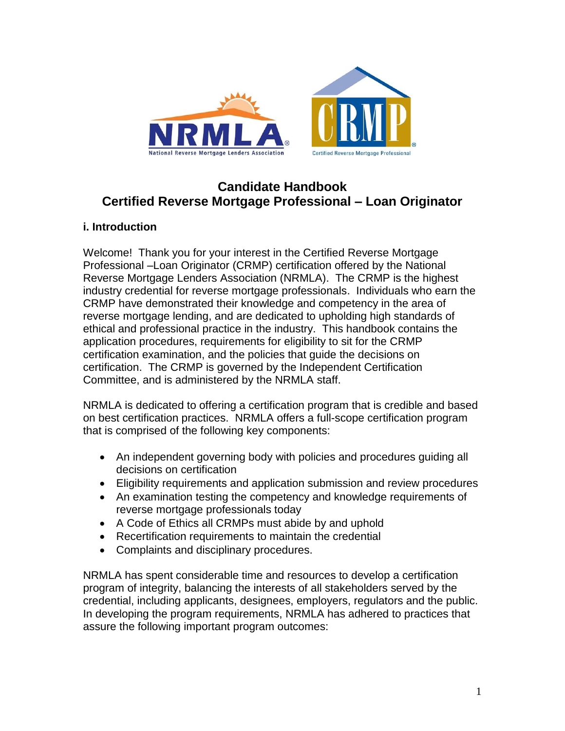

# **Candidate Handbook Certified Reverse Mortgage Professional – Loan Originator**

# **i. Introduction**

Welcome! Thank you for your interest in the Certified Reverse Mortgage Professional –Loan Originator (CRMP) certification offered by the National Reverse Mortgage Lenders Association (NRMLA). The CRMP is the highest industry credential for reverse mortgage professionals. Individuals who earn the CRMP have demonstrated their knowledge and competency in the area of reverse mortgage lending, and are dedicated to upholding high standards of ethical and professional practice in the industry. This handbook contains the application procedures, requirements for eligibility to sit for the CRMP certification examination, and the policies that guide the decisions on certification. The CRMP is governed by the Independent Certification Committee, and is administered by the NRMLA staff.

NRMLA is dedicated to offering a certification program that is credible and based on best certification practices. NRMLA offers a full-scope certification program that is comprised of the following key components:

- An independent governing body with policies and procedures guiding all decisions on certification
- Eligibility requirements and application submission and review procedures
- An examination testing the competency and knowledge requirements of reverse mortgage professionals today
- A Code of Ethics all CRMPs must abide by and uphold
- Recertification requirements to maintain the credential
- Complaints and disciplinary procedures.

NRMLA has spent considerable time and resources to develop a certification program of integrity, balancing the interests of all stakeholders served by the credential, including applicants, designees, employers, regulators and the public. In developing the program requirements, NRMLA has adhered to practices that assure the following important program outcomes: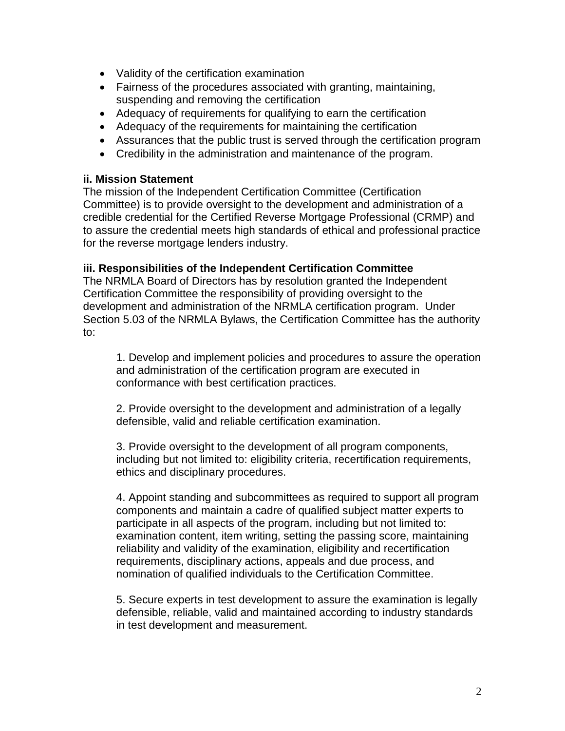- Validity of the certification examination
- Fairness of the procedures associated with granting, maintaining, suspending and removing the certification
- Adequacy of requirements for qualifying to earn the certification
- Adequacy of the requirements for maintaining the certification
- Assurances that the public trust is served through the certification program
- Credibility in the administration and maintenance of the program.

### **ii. Mission Statement**

The mission of the Independent Certification Committee (Certification Committee) is to provide oversight to the development and administration of a credible credential for the Certified Reverse Mortgage Professional (CRMP) and to assure the credential meets high standards of ethical and professional practice for the reverse mortgage lenders industry.

### **iii. Responsibilities of the Independent Certification Committee**

The NRMLA Board of Directors has by resolution granted the Independent Certification Committee the responsibility of providing oversight to the development and administration of the NRMLA certification program. Under Section 5.03 of the NRMLA Bylaws, the Certification Committee has the authority to:

1. Develop and implement policies and procedures to assure the operation and administration of the certification program are executed in conformance with best certification practices.

2. Provide oversight to the development and administration of a legally defensible, valid and reliable certification examination.

3. Provide oversight to the development of all program components, including but not limited to: eligibility criteria, recertification requirements, ethics and disciplinary procedures.

4. Appoint standing and subcommittees as required to support all program components and maintain a cadre of qualified subject matter experts to participate in all aspects of the program, including but not limited to: examination content, item writing, setting the passing score, maintaining reliability and validity of the examination, eligibility and recertification requirements, disciplinary actions, appeals and due process, and nomination of qualified individuals to the Certification Committee.

5. Secure experts in test development to assure the examination is legally defensible, reliable, valid and maintained according to industry standards in test development and measurement.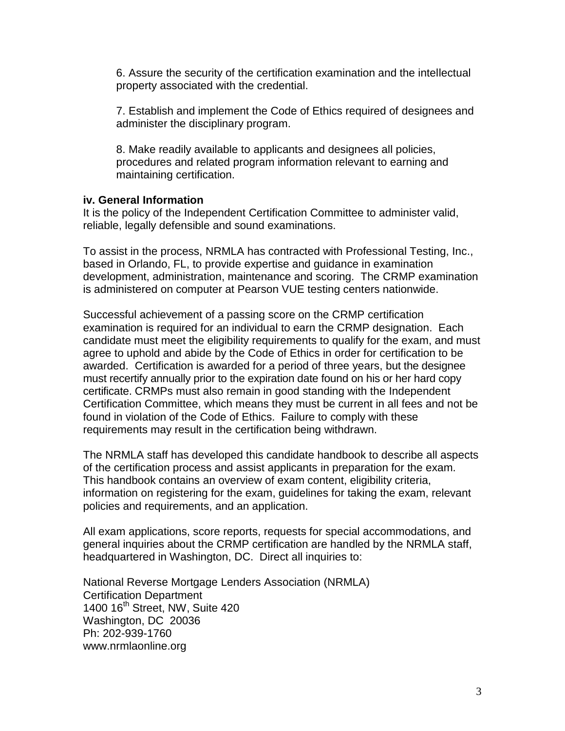6. Assure the security of the certification examination and the intellectual property associated with the credential.

7. Establish and implement the Code of Ethics required of designees and administer the disciplinary program.

8. Make readily available to applicants and designees all policies, procedures and related program information relevant to earning and maintaining certification.

#### **iv. General Information**

It is the policy of the Independent Certification Committee to administer valid, reliable, legally defensible and sound examinations.

To assist in the process, NRMLA has contracted with Professional Testing, Inc., based in Orlando, FL, to provide expertise and guidance in examination development, administration, maintenance and scoring. The CRMP examination is administered on computer at Pearson VUE testing centers nationwide.

Successful achievement of a passing score on the CRMP certification examination is required for an individual to earn the CRMP designation. Each candidate must meet the eligibility requirements to qualify for the exam, and must agree to uphold and abide by the Code of Ethics in order for certification to be awarded. Certification is awarded for a period of three years, but the designee must recertify annually prior to the expiration date found on his or her hard copy certificate. CRMPs must also remain in good standing with the Independent Certification Committee, which means they must be current in all fees and not be found in violation of the Code of Ethics. Failure to comply with these requirements may result in the certification being withdrawn.

The NRMLA staff has developed this candidate handbook to describe all aspects of the certification process and assist applicants in preparation for the exam. This handbook contains an overview of exam content, eligibility criteria, information on registering for the exam, guidelines for taking the exam, relevant policies and requirements, and an application.

All exam applications, score reports, requests for special accommodations, and general inquiries about the CRMP certification are handled by the NRMLA staff, headquartered in Washington, DC. Direct all inquiries to:

National Reverse Mortgage Lenders Association (NRMLA) Certification Department 1400 16th Street, NW, Suite 420 Washington, DC 20036 Ph: 202-939-1760 www.nrmlaonline.org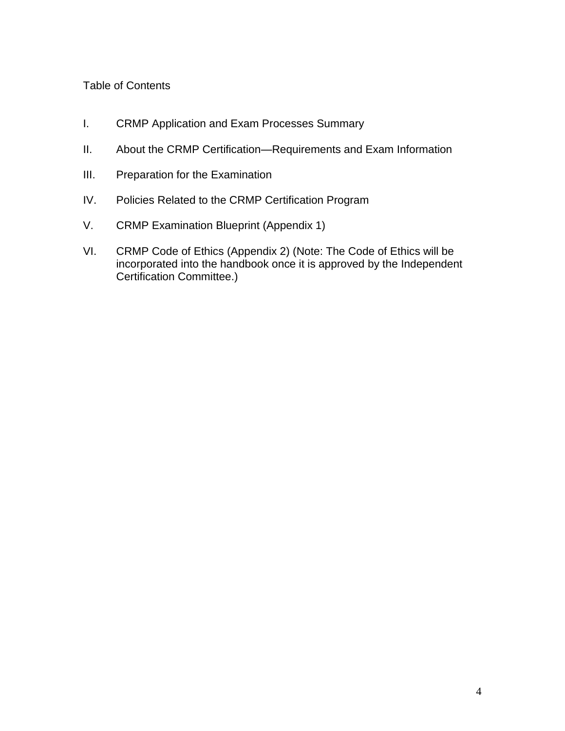### Table of Contents

- I. CRMP Application and Exam Processes Summary
- II. About the CRMP Certification—Requirements and Exam Information
- III. Preparation for the Examination
- IV. Policies Related to the CRMP Certification Program
- V. CRMP Examination Blueprint (Appendix 1)
- VI. CRMP Code of Ethics (Appendix 2) (Note: The Code of Ethics will be incorporated into the handbook once it is approved by the Independent Certification Committee.)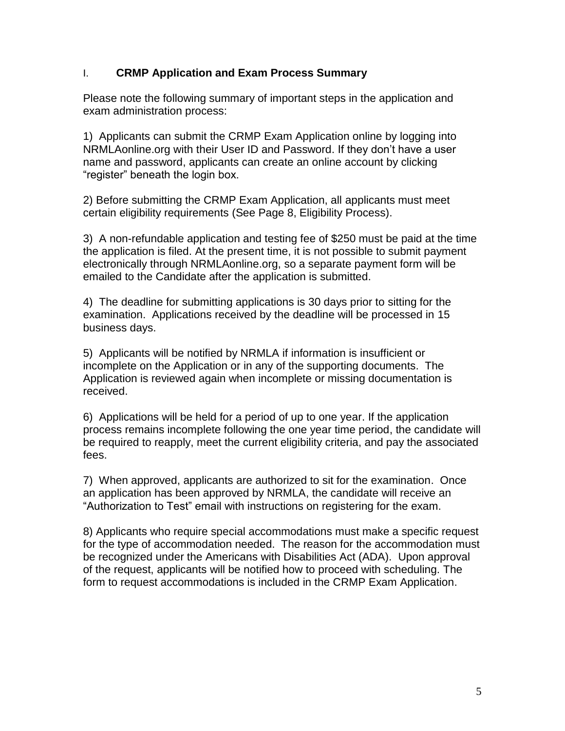### I. **CRMP Application and Exam Process Summary**

Please note the following summary of important steps in the application and exam administration process:

1) Applicants can submit the CRMP Exam Application online by logging into NRMLAonline.org with their User ID and Password. If they don't have a user name and password, applicants can create an online account by clicking "register" beneath the login box.

2) Before submitting the CRMP Exam Application, all applicants must meet certain eligibility requirements (See Page 8, Eligibility Process).

3) A non-refundable application and testing fee of \$250 must be paid at the time the application is filed. At the present time, it is not possible to submit payment electronically through NRMLAonline.org, so a separate payment form will be emailed to the Candidate after the application is submitted.

4) The deadline for submitting applications is 30 days prior to sitting for the examination. Applications received by the deadline will be processed in 15 business days.

5) Applicants will be notified by NRMLA if information is insufficient or incomplete on the Application or in any of the supporting documents. The Application is reviewed again when incomplete or missing documentation is received.

6) Applications will be held for a period of up to one year. If the application process remains incomplete following the one year time period, the candidate will be required to reapply, meet the current eligibility criteria, and pay the associated fees.

7) When approved, applicants are authorized to sit for the examination. Once an application has been approved by NRMLA, the candidate will receive an "Authorization to Test" email with instructions on registering for the exam.

8) Applicants who require special accommodations must make a specific request for the type of accommodation needed. The reason for the accommodation must be recognized under the Americans with Disabilities Act (ADA). Upon approval of the request, applicants will be notified how to proceed with scheduling. The form to request accommodations is included in the CRMP Exam Application.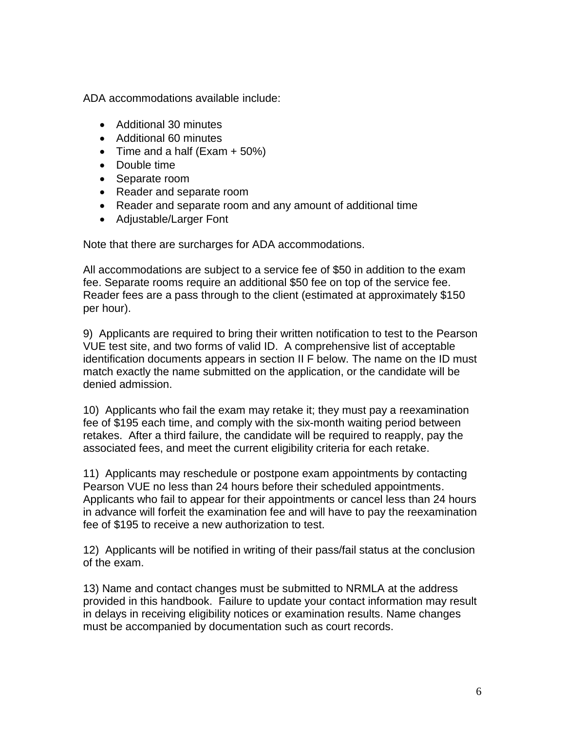ADA accommodations available include:

- Additional 30 minutes
- Additional 60 minutes
- $\bullet$  Time and a half (Exam  $+50\%)$
- Double time
- Separate room
- Reader and separate room
- Reader and separate room and any amount of additional time
- Adiustable/Larger Font

Note that there are surcharges for ADA accommodations.

All accommodations are subject to a service fee of \$50 in addition to the exam fee. Separate rooms require an additional \$50 fee on top of the service fee. Reader fees are a pass through to the client (estimated at approximately \$150 per hour).

9) Applicants are required to bring their written notification to test to the Pearson VUE test site, and two forms of valid ID. A comprehensive list of acceptable identification documents appears in section II F below. The name on the ID must match exactly the name submitted on the application, or the candidate will be denied admission.

10) Applicants who fail the exam may retake it; they must pay a reexamination fee of \$195 each time, and comply with the six-month waiting period between retakes. After a third failure, the candidate will be required to reapply, pay the associated fees, and meet the current eligibility criteria for each retake.

11) Applicants may reschedule or postpone exam appointments by contacting Pearson VUE no less than 24 hours before their scheduled appointments. Applicants who fail to appear for their appointments or cancel less than 24 hours in advance will forfeit the examination fee and will have to pay the reexamination fee of \$195 to receive a new authorization to test.

12) Applicants will be notified in writing of their pass/fail status at the conclusion of the exam.

13) Name and contact changes must be submitted to NRMLA at the address provided in this handbook. Failure to update your contact information may result in delays in receiving eligibility notices or examination results. Name changes must be accompanied by documentation such as court records.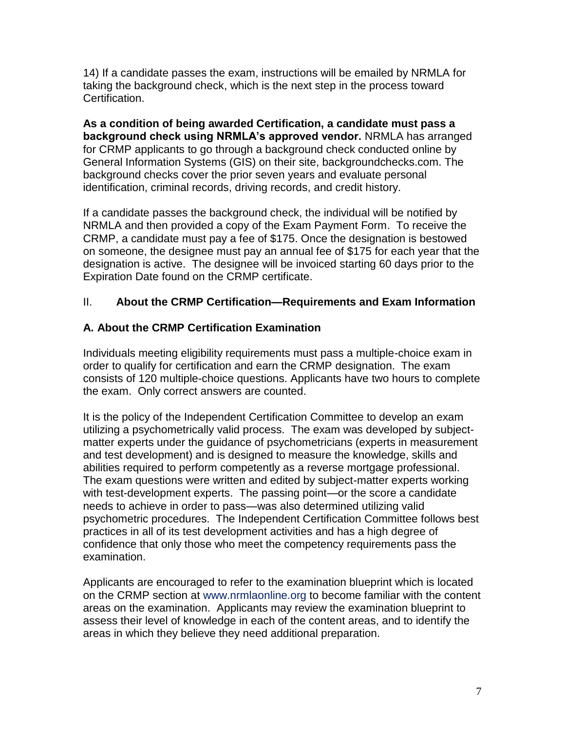14) If a candidate passes the exam, instructions will be emailed by NRMLA for taking the background check, which is the next step in the process toward Certification.

**As a condition of being awarded Certification, a candidate must pass a background check using NRMLA's approved vendor.** NRMLA has arranged for CRMP applicants to go through a background check conducted online by General Information Systems (GIS) on their site, backgroundchecks.com. The background checks cover the prior seven years and evaluate personal identification, criminal records, driving records, and credit history.

If a candidate passes the background check, the individual will be notified by NRMLA and then provided a copy of the Exam Payment Form. To receive the CRMP, a candidate must pay a fee of \$175. Once the designation is bestowed on someone, the designee must pay an annual fee of \$175 for each year that the designation is active. The designee will be invoiced starting 60 days prior to the Expiration Date found on the CRMP certificate.

# II. **About the CRMP Certification—Requirements and Exam Information**

# **A. About the CRMP Certification Examination**

Individuals meeting eligibility requirements must pass a multiple-choice exam in order to qualify for certification and earn the CRMP designation. The exam consists of 120 multiple-choice questions. Applicants have two hours to complete the exam. Only correct answers are counted.

It is the policy of the Independent Certification Committee to develop an exam utilizing a psychometrically valid process. The exam was developed by subjectmatter experts under the guidance of psychometricians (experts in measurement and test development) and is designed to measure the knowledge, skills and abilities required to perform competently as a reverse mortgage professional. The exam questions were written and edited by subject-matter experts working with test-development experts. The passing point—or the score a candidate needs to achieve in order to pass—was also determined utilizing valid psychometric procedures. The Independent Certification Committee follows best practices in all of its test development activities and has a high degree of confidence that only those who meet the competency requirements pass the examination.

Applicants are encouraged to refer to the examination blueprint which is located on the CRMP section at www.nrmlaonline.org to become familiar with the content areas on the examination. Applicants may review the examination blueprint to assess their level of knowledge in each of the content areas, and to identify the areas in which they believe they need additional preparation.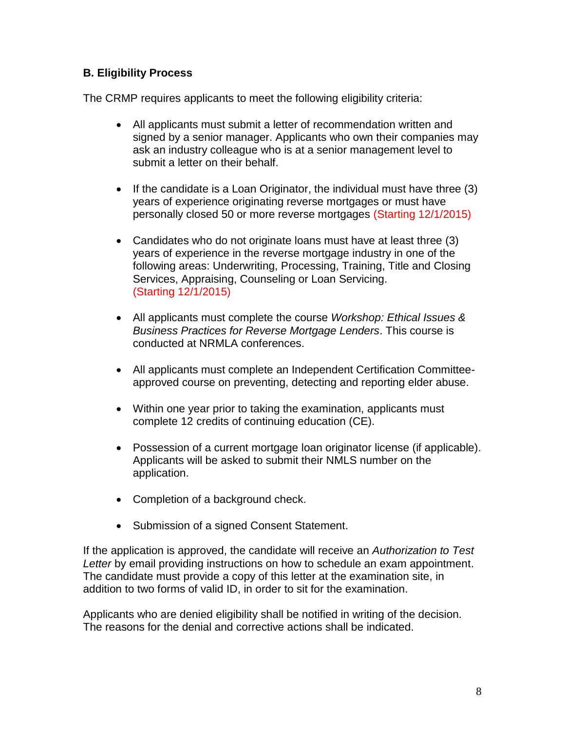# **B. Eligibility Process**

The CRMP requires applicants to meet the following eligibility criteria:

- All applicants must submit a letter of recommendation written and signed by a senior manager. Applicants who own their companies may ask an industry colleague who is at a senior management level to submit a letter on their behalf.
- If the candidate is a Loan Originator, the individual must have three  $(3)$ years of experience originating reverse mortgages or must have personally closed 50 or more reverse mortgages (Starting 12/1/2015)
- Candidates who do not originate loans must have at least three (3) years of experience in the reverse mortgage industry in one of the following areas: Underwriting, Processing, Training, Title and Closing Services, Appraising, Counseling or Loan Servicing. (Starting 12/1/2015)
- All applicants must complete the course *Workshop: Ethical Issues & Business Practices for Reverse Mortgage Lenders*. This course is conducted at NRMLA conferences.
- All applicants must complete an Independent Certification Committeeapproved course on preventing, detecting and reporting elder abuse.
- Within one year prior to taking the examination, applicants must complete 12 credits of continuing education (CE).
- Possession of a current mortgage loan originator license (if applicable). Applicants will be asked to submit their NMLS number on the application.
- Completion of a background check.
- Submission of a signed Consent Statement.

If the application is approved, the candidate will receive an *Authorization to Test Letter* by email providing instructions on how to schedule an exam appointment. The candidate must provide a copy of this letter at the examination site, in addition to two forms of valid ID, in order to sit for the examination.

Applicants who are denied eligibility shall be notified in writing of the decision. The reasons for the denial and corrective actions shall be indicated.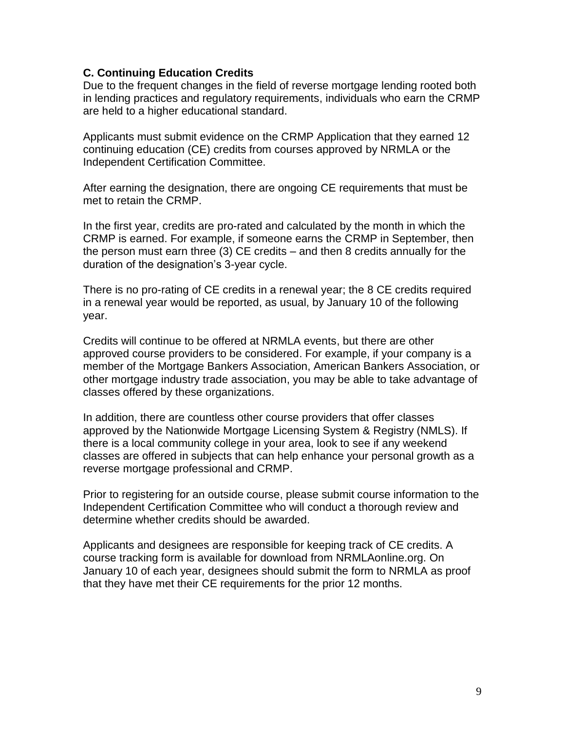#### **C. Continuing Education Credits**

Due to the frequent changes in the field of reverse mortgage lending rooted both in lending practices and regulatory requirements, individuals who earn the CRMP are held to a higher educational standard.

Applicants must submit evidence on the CRMP Application that they earned 12 continuing education (CE) credits from courses approved by NRMLA or the Independent Certification Committee.

After earning the designation, there are ongoing CE requirements that must be met to retain the CRMP.

In the first year, credits are pro-rated and calculated by the month in which the CRMP is earned. For example, if someone earns the CRMP in September, then the person must earn three (3) CE credits – and then 8 credits annually for the duration of the designation's 3-year cycle.

There is no pro-rating of CE credits in a renewal year; the 8 CE credits required in a renewal year would be reported, as usual, by January 10 of the following year.

Credits will continue to be offered at NRMLA events, but there are other approved course providers to be considered. For example, if your company is a member of the Mortgage Bankers Association, American Bankers Association, or other mortgage industry trade association, you may be able to take advantage of classes offered by these organizations.

In addition, there are countless other course providers that offer classes approved by the Nationwide Mortgage Licensing System & Registry (NMLS). If there is a local community college in your area, look to see if any weekend classes are offered in subjects that can help enhance your personal growth as a reverse mortgage professional and CRMP.

Prior to registering for an outside course, please submit course information to the Independent Certification Committee who will conduct a thorough review and determine whether credits should be awarded.

Applicants and designees are responsible for keeping track of CE credits. A course tracking form is available for download from NRMLAonline.org. On January 10 of each year, designees should submit the form to NRMLA as proof that they have met their CE requirements for the prior 12 months.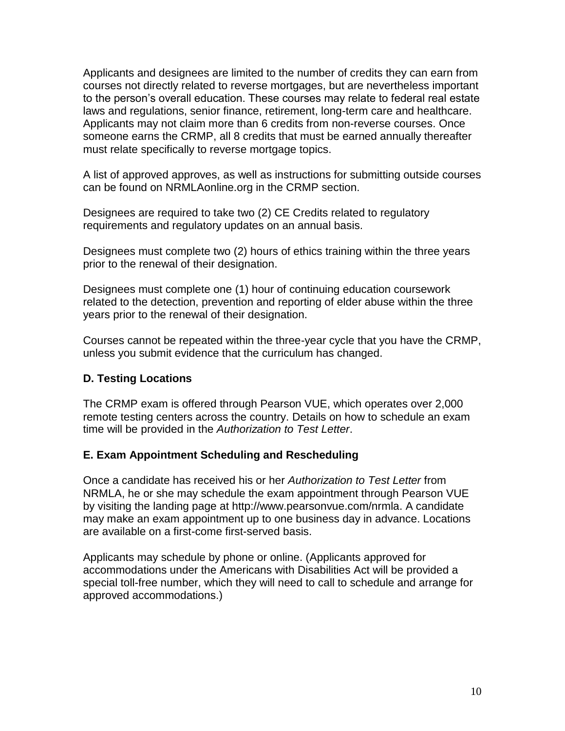Applicants and designees are limited to the number of credits they can earn from courses not directly related to reverse mortgages, but are nevertheless important to the person's overall education. These courses may relate to federal real estate laws and regulations, senior finance, retirement, long-term care and healthcare. Applicants may not claim more than 6 credits from non-reverse courses. Once someone earns the CRMP, all 8 credits that must be earned annually thereafter must relate specifically to reverse mortgage topics.

A list of approved approves, as well as instructions for submitting outside courses can be found on NRMLAonline.org in the CRMP section.

Designees are required to take two (2) CE Credits related to regulatory requirements and regulatory updates on an annual basis.

Designees must complete two (2) hours of ethics training within the three years prior to the renewal of their designation.

Designees must complete one (1) hour of continuing education coursework related to the detection, prevention and reporting of elder abuse within the three years prior to the renewal of their designation.

Courses cannot be repeated within the three-year cycle that you have the CRMP, unless you submit evidence that the curriculum has changed.

# **D. Testing Locations**

The CRMP exam is offered through Pearson VUE, which operates over 2,000 remote testing centers across the country. Details on how to schedule an exam time will be provided in the *Authorization to Test Letter*.

# **E. Exam Appointment Scheduling and Rescheduling**

Once a candidate has received his or her *Authorization to Test Letter* from NRMLA, he or she may schedule the exam appointment through Pearson VUE by visiting the landing page at http://www.pearsonvue.com/nrmla. A candidate may make an exam appointment up to one business day in advance. Locations are available on a first-come first-served basis.

Applicants may schedule by phone or online. (Applicants approved for accommodations under the Americans with Disabilities Act will be provided a special toll-free number, which they will need to call to schedule and arrange for approved accommodations.)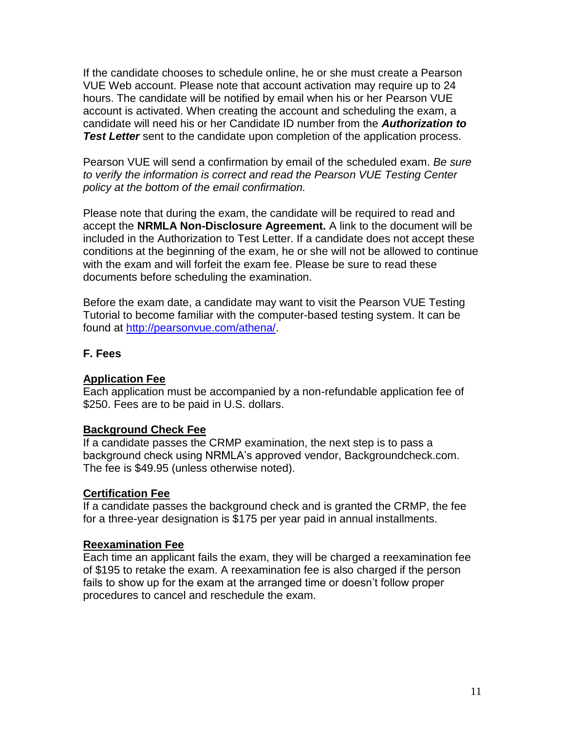If the candidate chooses to schedule online, he or she must create a Pearson VUE Web account. Please note that account activation may require up to 24 hours. The candidate will be notified by email when his or her Pearson VUE account is activated. When creating the account and scheduling the exam, a candidate will need his or her Candidate ID number from the *Authorization to*  **Test Letter** sent to the candidate upon completion of the application process.

Pearson VUE will send a confirmation by email of the scheduled exam. *Be sure to verify the information is correct and read the Pearson VUE Testing Center policy at the bottom of the email confirmation.*

Please note that during the exam, the candidate will be required to read and accept the **NRMLA Non-Disclosure Agreement.** A link to the document will be included in the Authorization to Test Letter. If a candidate does not accept these conditions at the beginning of the exam, he or she will not be allowed to continue with the exam and will forfeit the exam fee. Please be sure to read these documents before scheduling the examination.

Before the exam date, a candidate may want to visit the Pearson VUE Testing Tutorial to become familiar with the computer-based testing system. It can be found at [http://pearsonvue.com/athena/.](http://pearsonvue.com/athena/)

### **F. Fees**

### **Application Fee**

Each application must be accompanied by a non-refundable application fee of \$250. Fees are to be paid in U.S. dollars.

### **Background Check Fee**

If a candidate passes the CRMP examination, the next step is to pass a background check using NRMLA's approved vendor, Backgroundcheck.com. The fee is \$49.95 (unless otherwise noted).

### **Certification Fee**

If a candidate passes the background check and is granted the CRMP, the fee for a three-year designation is \$175 per year paid in annual installments.

### **Reexamination Fee**

Each time an applicant fails the exam, they will be charged a reexamination fee of \$195 to retake the exam. A reexamination fee is also charged if the person fails to show up for the exam at the arranged time or doesn't follow proper procedures to cancel and reschedule the exam.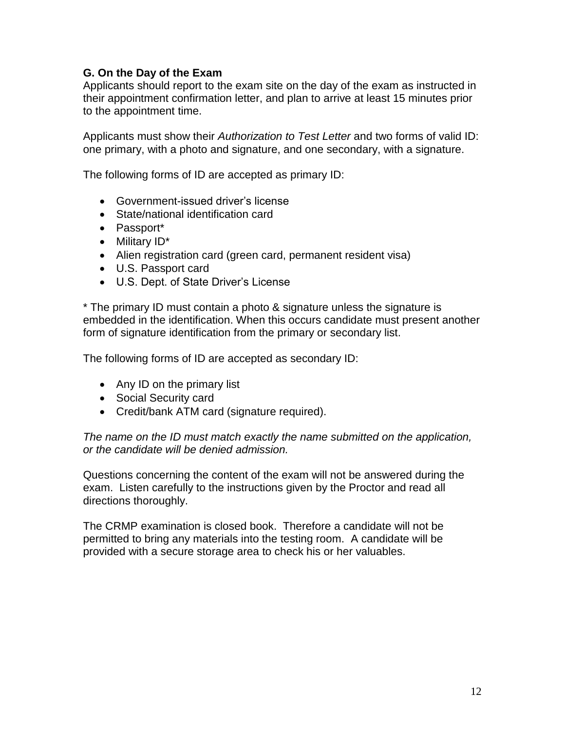### **G. On the Day of the Exam**

Applicants should report to the exam site on the day of the exam as instructed in their appointment confirmation letter, and plan to arrive at least 15 minutes prior to the appointment time.

Applicants must show their *Authorization to Test Letter* and two forms of valid ID: one primary, with a photo and signature, and one secondary, with a signature.

The following forms of ID are accepted as primary ID:

- Government-issued driver's license
- State/national identification card
- Passport\*
- Military ID\*
- Alien registration card (green card, permanent resident visa)
- U.S. Passport card
- U.S. Dept. of State Driver's License

\* The primary ID must contain a photo & signature unless the signature is embedded in the identification. When this occurs candidate must present another form of signature identification from the primary or secondary list.

The following forms of ID are accepted as secondary ID:

- Any ID on the primary list
- Social Security card
- Credit/bank ATM card (signature required).

*The name on the ID must match exactly the name submitted on the application, or the candidate will be denied admission.* 

Questions concerning the content of the exam will not be answered during the exam. Listen carefully to the instructions given by the Proctor and read all directions thoroughly.

The CRMP examination is closed book. Therefore a candidate will not be permitted to bring any materials into the testing room. A candidate will be provided with a secure storage area to check his or her valuables.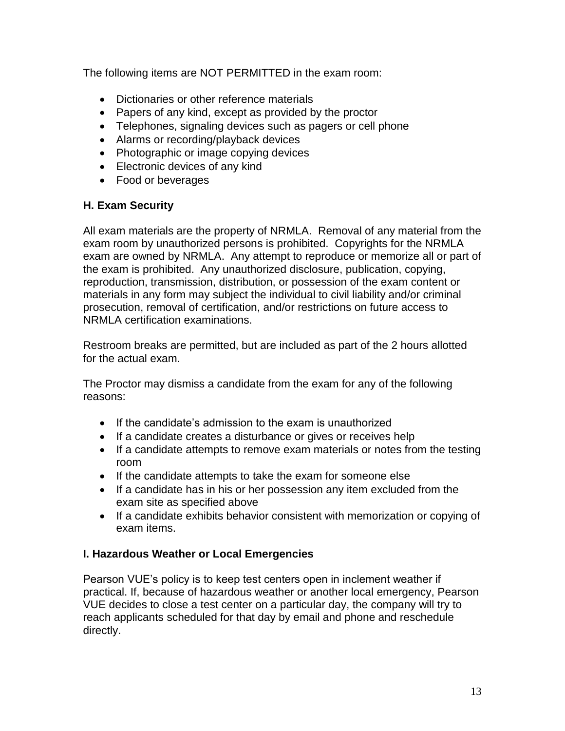The following items are NOT PERMITTED in the exam room:

- Dictionaries or other reference materials
- Papers of any kind, except as provided by the proctor
- Telephones, signaling devices such as pagers or cell phone
- Alarms or recording/playback devices
- Photographic or image copying devices
- Electronic devices of any kind
- Food or beverages

# **H. Exam Security**

All exam materials are the property of NRMLA. Removal of any material from the exam room by unauthorized persons is prohibited. Copyrights for the NRMLA exam are owned by NRMLA. Any attempt to reproduce or memorize all or part of the exam is prohibited. Any unauthorized disclosure, publication, copying, reproduction, transmission, distribution, or possession of the exam content or materials in any form may subject the individual to civil liability and/or criminal prosecution, removal of certification, and/or restrictions on future access to NRMLA certification examinations.

Restroom breaks are permitted, but are included as part of the 2 hours allotted for the actual exam.

The Proctor may dismiss a candidate from the exam for any of the following reasons:

- If the candidate's admission to the exam is unauthorized
- If a candidate creates a disturbance or gives or receives help
- If a candidate attempts to remove exam materials or notes from the testing room
- If the candidate attempts to take the exam for someone else
- If a candidate has in his or her possession any item excluded from the exam site as specified above
- If a candidate exhibits behavior consistent with memorization or copying of exam items.

# **I. Hazardous Weather or Local Emergencies**

Pearson VUE's policy is to keep test centers open in inclement weather if practical. If, because of hazardous weather or another local emergency, Pearson VUE decides to close a test center on a particular day, the company will try to reach applicants scheduled for that day by email and phone and reschedule directly.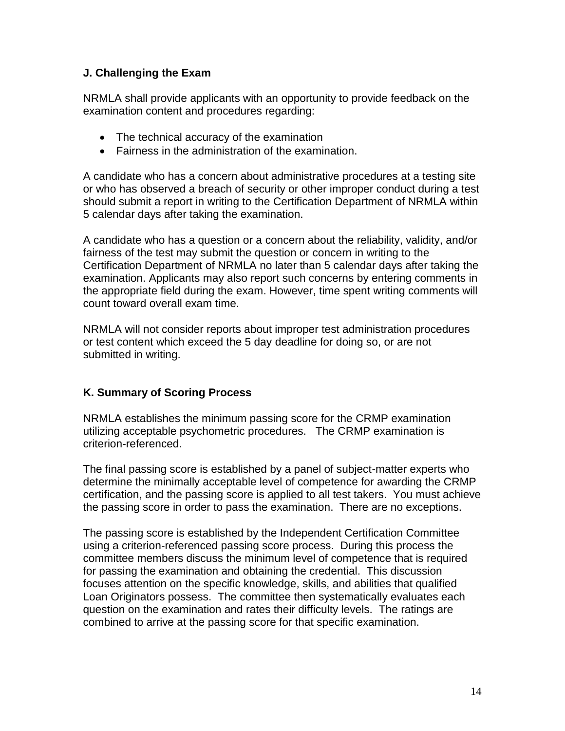# **J. Challenging the Exam**

NRMLA shall provide applicants with an opportunity to provide feedback on the examination content and procedures regarding:

- The technical accuracy of the examination
- Fairness in the administration of the examination.

A candidate who has a concern about administrative procedures at a testing site or who has observed a breach of security or other improper conduct during a test should submit a report in writing to the Certification Department of NRMLA within 5 calendar days after taking the examination.

A candidate who has a question or a concern about the reliability, validity, and/or fairness of the test may submit the question or concern in writing to the Certification Department of NRMLA no later than 5 calendar days after taking the examination. Applicants may also report such concerns by entering comments in the appropriate field during the exam. However, time spent writing comments will count toward overall exam time.

NRMLA will not consider reports about improper test administration procedures or test content which exceed the 5 day deadline for doing so, or are not submitted in writing.

# **K. Summary of Scoring Process**

NRMLA establishes the minimum passing score for the CRMP examination utilizing acceptable psychometric procedures. The CRMP examination is criterion-referenced.

The final passing score is established by a panel of subject-matter experts who determine the minimally acceptable level of competence for awarding the CRMP certification, and the passing score is applied to all test takers. You must achieve the passing score in order to pass the examination. There are no exceptions.

The passing score is established by the Independent Certification Committee using a criterion-referenced passing score process. During this process the committee members discuss the minimum level of competence that is required for passing the examination and obtaining the credential. This discussion focuses attention on the specific knowledge, skills, and abilities that qualified Loan Originators possess. The committee then systematically evaluates each question on the examination and rates their difficulty levels. The ratings are combined to arrive at the passing score for that specific examination.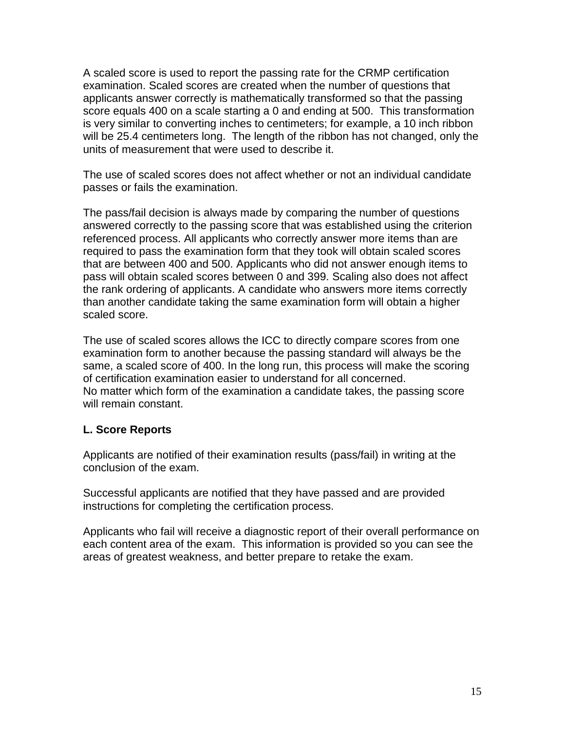A scaled score is used to report the passing rate for the CRMP certification examination. Scaled scores are created when the number of questions that applicants answer correctly is mathematically transformed so that the passing score equals 400 on a scale starting a 0 and ending at 500. This transformation is very similar to converting inches to centimeters; for example, a 10 inch ribbon will be 25.4 centimeters long. The length of the ribbon has not changed, only the units of measurement that were used to describe it.

The use of scaled scores does not affect whether or not an individual candidate passes or fails the examination.

The pass/fail decision is always made by comparing the number of questions answered correctly to the passing score that was established using the criterion referenced process. All applicants who correctly answer more items than are required to pass the examination form that they took will obtain scaled scores that are between 400 and 500. Applicants who did not answer enough items to pass will obtain scaled scores between 0 and 399. Scaling also does not affect the rank ordering of applicants. A candidate who answers more items correctly than another candidate taking the same examination form will obtain a higher scaled score.

The use of scaled scores allows the ICC to directly compare scores from one examination form to another because the passing standard will always be the same, a scaled score of 400. In the long run, this process will make the scoring of certification examination easier to understand for all concerned. No matter which form of the examination a candidate takes, the passing score will remain constant.

### **L. Score Reports**

Applicants are notified of their examination results (pass/fail) in writing at the conclusion of the exam.

Successful applicants are notified that they have passed and are provided instructions for completing the certification process.

Applicants who fail will receive a diagnostic report of their overall performance on each content area of the exam. This information is provided so you can see the areas of greatest weakness, and better prepare to retake the exam.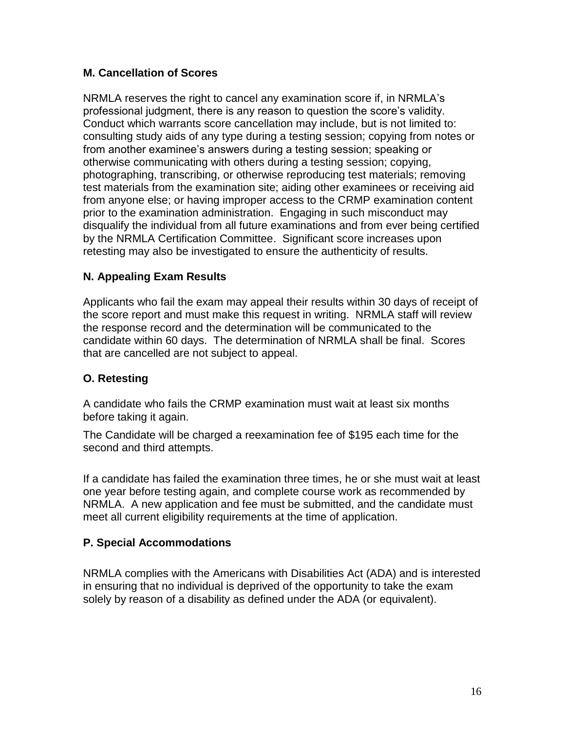# **M. Cancellation of Scores**

NRMLA reserves the right to cancel any examination score if, in NRMLA's professional judgment, there is any reason to question the score's validity. Conduct which warrants score cancellation may include, but is not limited to: consulting study aids of any type during a testing session; copying from notes or from another examinee's answers during a testing session; speaking or otherwise communicating with others during a testing session; copying, photographing, transcribing, or otherwise reproducing test materials; removing test materials from the examination site; aiding other examinees or receiving aid from anyone else; or having improper access to the CRMP examination content prior to the examination administration. Engaging in such misconduct may disqualify the individual from all future examinations and from ever being certified by the NRMLA Certification Committee. Significant score increases upon retesting may also be investigated to ensure the authenticity of results.

# **N. Appealing Exam Results**

Applicants who fail the exam may appeal their results within 30 days of receipt of the score report and must make this request in writing. NRMLA staff will review the response record and the determination will be communicated to the candidate within 60 days. The determination of NRMLA shall be final. Scores that are cancelled are not subject to appeal.

# **O. Retesting**

A candidate who fails the CRMP examination must wait at least six months before taking it again.

The Candidate will be charged a reexamination fee of \$195 each time for the second and third attempts.

If a candidate has failed the examination three times, he or she must wait at least one year before testing again, and complete course work as recommended by NRMLA. A new application and fee must be submitted, and the candidate must meet all current eligibility requirements at the time of application.

# **P. Special Accommodations**

NRMLA complies with the Americans with Disabilities Act (ADA) and is interested in ensuring that no individual is deprived of the opportunity to take the exam solely by reason of a disability as defined under the ADA (or equivalent).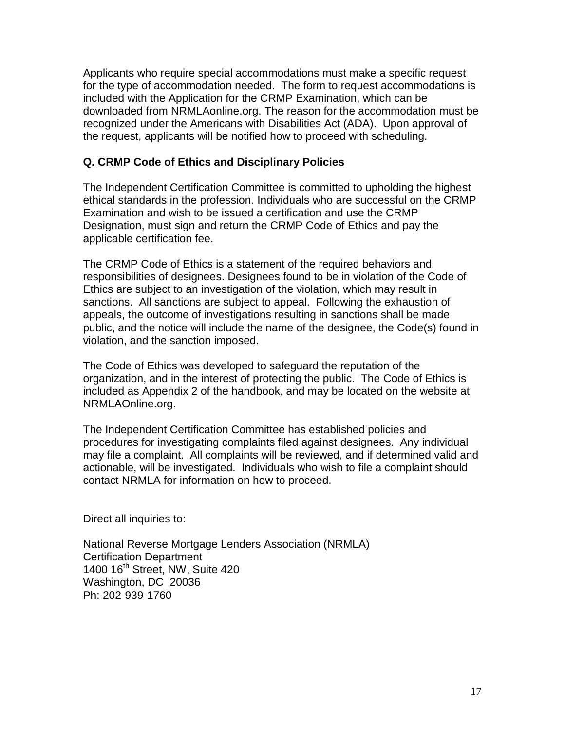Applicants who require special accommodations must make a specific request for the type of accommodation needed. The form to request accommodations is included with the Application for the CRMP Examination, which can be downloaded from NRMLAonline.org. The reason for the accommodation must be recognized under the Americans with Disabilities Act (ADA). Upon approval of the request, applicants will be notified how to proceed with scheduling.

### **Q. CRMP Code of Ethics and Disciplinary Policies**

The Independent Certification Committee is committed to upholding the highest ethical standards in the profession. Individuals who are successful on the CRMP Examination and wish to be issued a certification and use the CRMP Designation, must sign and return the CRMP Code of Ethics and pay the applicable certification fee.

The CRMP Code of Ethics is a statement of the required behaviors and responsibilities of designees. Designees found to be in violation of the Code of Ethics are subject to an investigation of the violation, which may result in sanctions. All sanctions are subject to appeal. Following the exhaustion of appeals, the outcome of investigations resulting in sanctions shall be made public, and the notice will include the name of the designee, the Code(s) found in violation, and the sanction imposed.

The Code of Ethics was developed to safeguard the reputation of the organization, and in the interest of protecting the public. The Code of Ethics is included as Appendix 2 of the handbook, and may be located on the website at NRMLAOnline.org.

The Independent Certification Committee has established policies and procedures for investigating complaints filed against designees. Any individual may file a complaint. All complaints will be reviewed, and if determined valid and actionable, will be investigated. Individuals who wish to file a complaint should contact NRMLA for information on how to proceed.

Direct all inquiries to:

National Reverse Mortgage Lenders Association (NRMLA) Certification Department 1400 16<sup>th</sup> Street, NW, Suite 420 Washington, DC 20036 Ph: 202-939-1760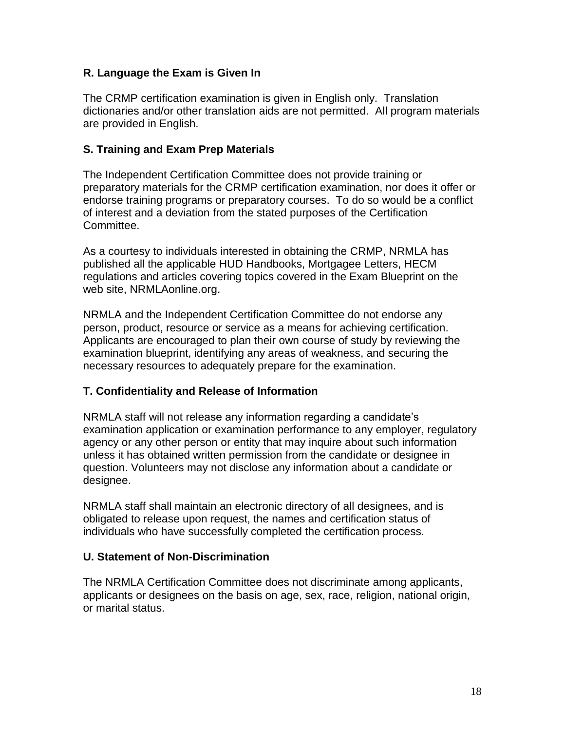# **R. Language the Exam is Given In**

The CRMP certification examination is given in English only. Translation dictionaries and/or other translation aids are not permitted. All program materials are provided in English.

### **S. Training and Exam Prep Materials**

The Independent Certification Committee does not provide training or preparatory materials for the CRMP certification examination, nor does it offer or endorse training programs or preparatory courses. To do so would be a conflict of interest and a deviation from the stated purposes of the Certification Committee.

As a courtesy to individuals interested in obtaining the CRMP, NRMLA has published all the applicable HUD Handbooks, Mortgagee Letters, HECM regulations and articles covering topics covered in the Exam Blueprint on the web site, NRMLAonline.org.

NRMLA and the Independent Certification Committee do not endorse any person, product, resource or service as a means for achieving certification. Applicants are encouraged to plan their own course of study by reviewing the examination blueprint, identifying any areas of weakness, and securing the necessary resources to adequately prepare for the examination.

# **T. Confidentiality and Release of Information**

NRMLA staff will not release any information regarding a candidate's examination application or examination performance to any employer, regulatory agency or any other person or entity that may inquire about such information unless it has obtained written permission from the candidate or designee in question. Volunteers may not disclose any information about a candidate or designee.

NRMLA staff shall maintain an electronic directory of all designees, and is obligated to release upon request, the names and certification status of individuals who have successfully completed the certification process.

### **U. Statement of Non-Discrimination**

The NRMLA Certification Committee does not discriminate among applicants, applicants or designees on the basis on age, sex, race, religion, national origin, or marital status.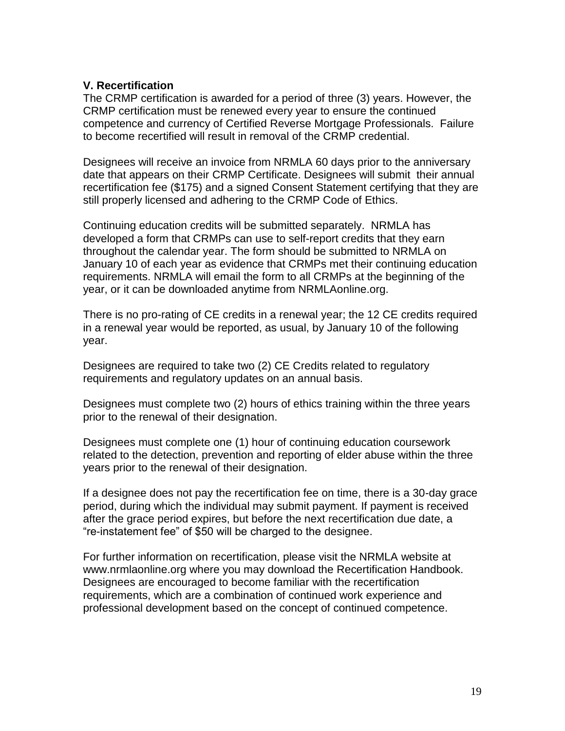#### **V. Recertification**

The CRMP certification is awarded for a period of three (3) years. However, the CRMP certification must be renewed every year to ensure the continued competence and currency of Certified Reverse Mortgage Professionals. Failure to become recertified will result in removal of the CRMP credential.

Designees will receive an invoice from NRMLA 60 days prior to the anniversary date that appears on their CRMP Certificate. Designees will submit their annual recertification fee (\$175) and a signed Consent Statement certifying that they are still properly licensed and adhering to the CRMP Code of Ethics.

Continuing education credits will be submitted separately. NRMLA has developed a form that CRMPs can use to self-report credits that they earn throughout the calendar year. The form should be submitted to NRMLA on January 10 of each year as evidence that CRMPs met their continuing education requirements. NRMLA will email the form to all CRMPs at the beginning of the year, or it can be downloaded anytime from NRMLAonline.org.

There is no pro-rating of CE credits in a renewal year; the 12 CE credits required in a renewal year would be reported, as usual, by January 10 of the following year.

Designees are required to take two (2) CE Credits related to regulatory requirements and regulatory updates on an annual basis.

Designees must complete two (2) hours of ethics training within the three years prior to the renewal of their designation.

Designees must complete one (1) hour of continuing education coursework related to the detection, prevention and reporting of elder abuse within the three years prior to the renewal of their designation.

If a designee does not pay the recertification fee on time, there is a 30-day grace period, during which the individual may submit payment. If payment is received after the grace period expires, but before the next recertification due date, a "re-instatement fee" of \$50 will be charged to the designee.

For further information on recertification, please visit the NRMLA website at www.nrmlaonline.org where you may download the Recertification Handbook. Designees are encouraged to become familiar with the recertification requirements, which are a combination of continued work experience and professional development based on the concept of continued competence.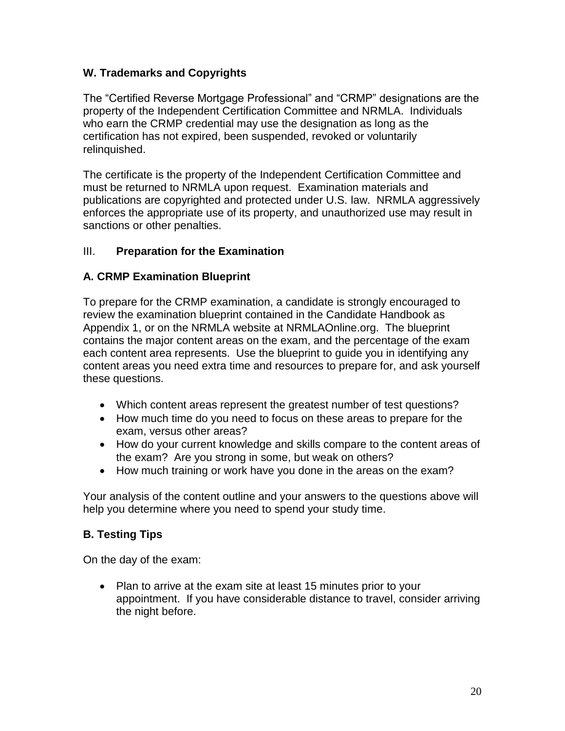# **W. Trademarks and Copyrights**

The "Certified Reverse Mortgage Professional" and "CRMP" designations are the property of the Independent Certification Committee and NRMLA. Individuals who earn the CRMP credential may use the designation as long as the certification has not expired, been suspended, revoked or voluntarily relinquished.

The certificate is the property of the Independent Certification Committee and must be returned to NRMLA upon request. Examination materials and publications are copyrighted and protected under U.S. law. NRMLA aggressively enforces the appropriate use of its property, and unauthorized use may result in sanctions or other penalties.

# III. **Preparation for the Examination**

# **A. CRMP Examination Blueprint**

To prepare for the CRMP examination, a candidate is strongly encouraged to review the examination blueprint contained in the Candidate Handbook as Appendix 1, or on the NRMLA website at NRMLAOnline.org. The blueprint contains the major content areas on the exam, and the percentage of the exam each content area represents. Use the blueprint to guide you in identifying any content areas you need extra time and resources to prepare for, and ask yourself these questions.

- Which content areas represent the greatest number of test questions?
- How much time do you need to focus on these areas to prepare for the exam, versus other areas?
- How do your current knowledge and skills compare to the content areas of the exam? Are you strong in some, but weak on others?
- How much training or work have you done in the areas on the exam?

Your analysis of the content outline and your answers to the questions above will help you determine where you need to spend your study time.

# **B. Testing Tips**

On the day of the exam:

• Plan to arrive at the exam site at least 15 minutes prior to your appointment. If you have considerable distance to travel, consider arriving the night before.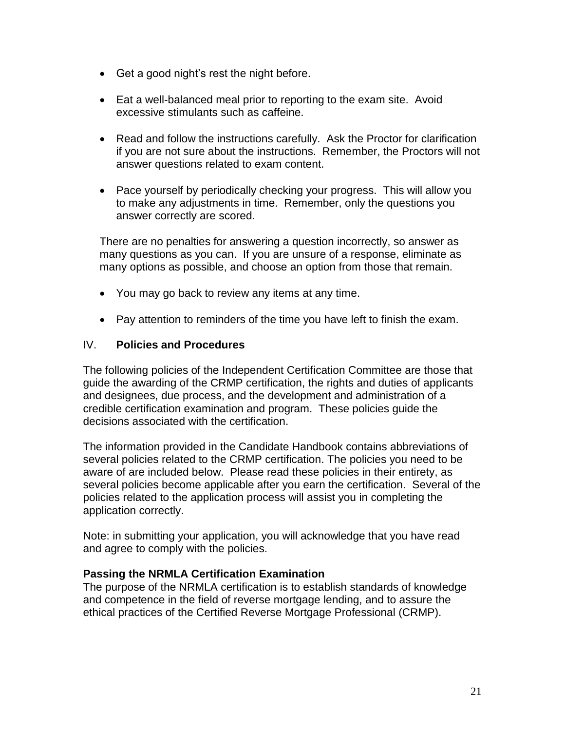- Get a good night's rest the night before.
- Eat a well-balanced meal prior to reporting to the exam site. Avoid excessive stimulants such as caffeine.
- Read and follow the instructions carefully. Ask the Proctor for clarification if you are not sure about the instructions. Remember, the Proctors will not answer questions related to exam content.
- Pace yourself by periodically checking your progress. This will allow you to make any adjustments in time. Remember, only the questions you answer correctly are scored.

There are no penalties for answering a question incorrectly, so answer as many questions as you can. If you are unsure of a response, eliminate as many options as possible, and choose an option from those that remain.

- You may go back to review any items at any time.
- Pay attention to reminders of the time you have left to finish the exam.

### IV. **Policies and Procedures**

The following policies of the Independent Certification Committee are those that guide the awarding of the CRMP certification, the rights and duties of applicants and designees, due process, and the development and administration of a credible certification examination and program. These policies guide the decisions associated with the certification.

The information provided in the Candidate Handbook contains abbreviations of several policies related to the CRMP certification. The policies you need to be aware of are included below. Please read these policies in their entirety, as several policies become applicable after you earn the certification. Several of the policies related to the application process will assist you in completing the application correctly.

Note: in submitting your application, you will acknowledge that you have read and agree to comply with the policies.

### **Passing the NRMLA Certification Examination**

The purpose of the NRMLA certification is to establish standards of knowledge and competence in the field of reverse mortgage lending, and to assure the ethical practices of the Certified Reverse Mortgage Professional (CRMP).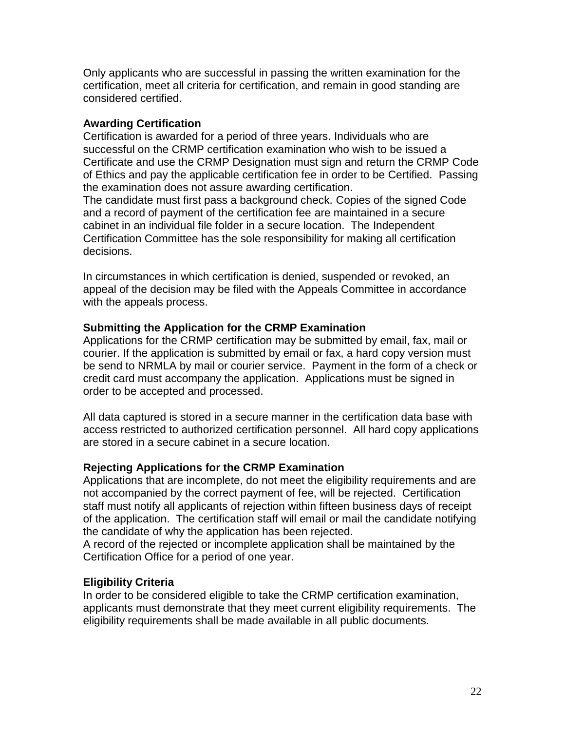Only applicants who are successful in passing the written examination for the certification, meet all criteria for certification, and remain in good standing are considered certified.

### **Awarding Certification**

Certification is awarded for a period of three years. Individuals who are successful on the CRMP certification examination who wish to be issued a Certificate and use the CRMP Designation must sign and return the CRMP Code of Ethics and pay the applicable certification fee in order to be Certified. Passing the examination does not assure awarding certification.

The candidate must first pass a background check. Copies of the signed Code and a record of payment of the certification fee are maintained in a secure cabinet in an individual file folder in a secure location. The Independent Certification Committee has the sole responsibility for making all certification decisions.

In circumstances in which certification is denied, suspended or revoked, an appeal of the decision may be filed with the Appeals Committee in accordance with the appeals process.

# **Submitting the Application for the CRMP Examination**

Applications for the CRMP certification may be submitted by email, fax, mail or courier. If the application is submitted by email or fax, a hard copy version must be send to NRMLA by mail or courier service. Payment in the form of a check or credit card must accompany the application. Applications must be signed in order to be accepted and processed.

All data captured is stored in a secure manner in the certification data base with access restricted to authorized certification personnel. All hard copy applications are stored in a secure cabinet in a secure location.

# **Rejecting Applications for the CRMP Examination**

Applications that are incomplete, do not meet the eligibility requirements and are not accompanied by the correct payment of fee, will be rejected. Certification staff must notify all applicants of rejection within fifteen business days of receipt of the application. The certification staff will email or mail the candidate notifying the candidate of why the application has been rejected.

A record of the rejected or incomplete application shall be maintained by the Certification Office for a period of one year.

# **Eligibility Criteria**

In order to be considered eligible to take the CRMP certification examination, applicants must demonstrate that they meet current eligibility requirements. The eligibility requirements shall be made available in all public documents.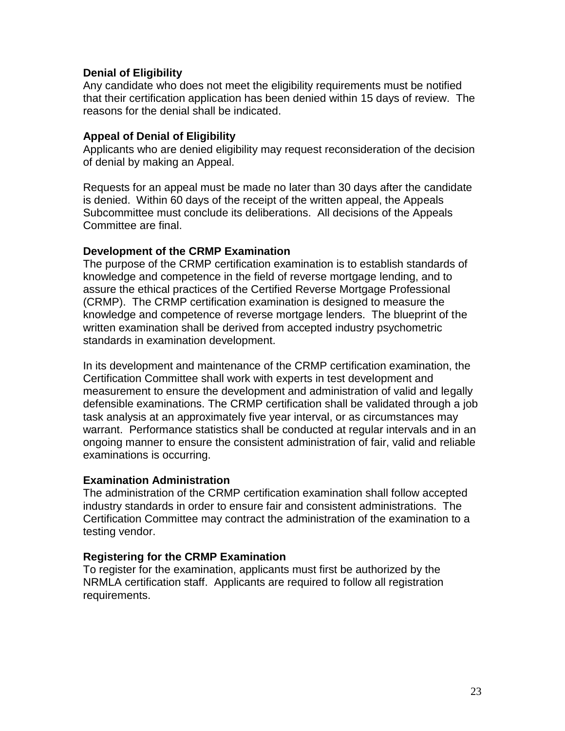#### **Denial of Eligibility**

Any candidate who does not meet the eligibility requirements must be notified that their certification application has been denied within 15 days of review. The reasons for the denial shall be indicated.

#### **Appeal of Denial of Eligibility**

Applicants who are denied eligibility may request reconsideration of the decision of denial by making an Appeal.

Requests for an appeal must be made no later than 30 days after the candidate is denied. Within 60 days of the receipt of the written appeal, the Appeals Subcommittee must conclude its deliberations. All decisions of the Appeals Committee are final.

#### **Development of the CRMP Examination**

The purpose of the CRMP certification examination is to establish standards of knowledge and competence in the field of reverse mortgage lending, and to assure the ethical practices of the Certified Reverse Mortgage Professional (CRMP). The CRMP certification examination is designed to measure the knowledge and competence of reverse mortgage lenders. The blueprint of the written examination shall be derived from accepted industry psychometric standards in examination development.

In its development and maintenance of the CRMP certification examination, the Certification Committee shall work with experts in test development and measurement to ensure the development and administration of valid and legally defensible examinations. The CRMP certification shall be validated through a job task analysis at an approximately five year interval, or as circumstances may warrant. Performance statistics shall be conducted at regular intervals and in an ongoing manner to ensure the consistent administration of fair, valid and reliable examinations is occurring.

#### **Examination Administration**

The administration of the CRMP certification examination shall follow accepted industry standards in order to ensure fair and consistent administrations. The Certification Committee may contract the administration of the examination to a testing vendor.

#### **Registering for the CRMP Examination**

To register for the examination, applicants must first be authorized by the NRMLA certification staff. Applicants are required to follow all registration requirements.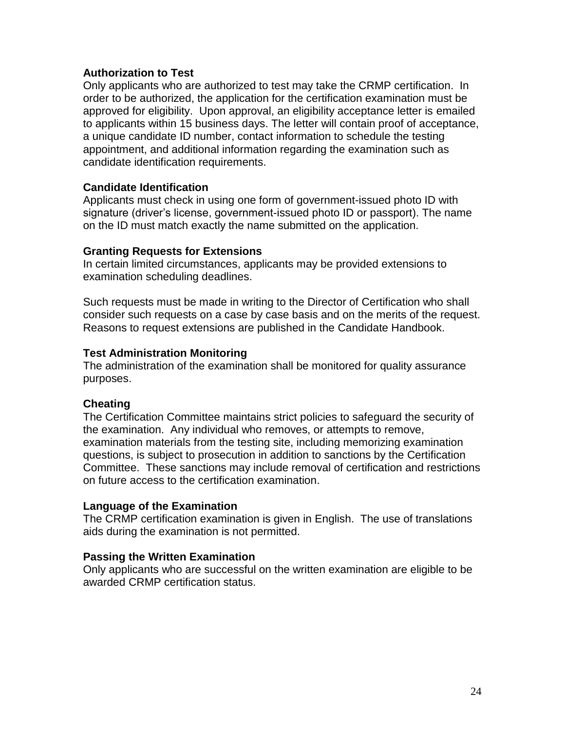### **Authorization to Test**

Only applicants who are authorized to test may take the CRMP certification. In order to be authorized, the application for the certification examination must be approved for eligibility. Upon approval, an eligibility acceptance letter is emailed to applicants within 15 business days. The letter will contain proof of acceptance, a unique candidate ID number, contact information to schedule the testing appointment, and additional information regarding the examination such as candidate identification requirements.

#### **Candidate Identification**

Applicants must check in using one form of government-issued photo ID with signature (driver's license, government-issued photo ID or passport). The name on the ID must match exactly the name submitted on the application.

#### **Granting Requests for Extensions**

In certain limited circumstances, applicants may be provided extensions to examination scheduling deadlines.

Such requests must be made in writing to the Director of Certification who shall consider such requests on a case by case basis and on the merits of the request. Reasons to request extensions are published in the Candidate Handbook.

#### **Test Administration Monitoring**

The administration of the examination shall be monitored for quality assurance purposes.

### **Cheating**

The Certification Committee maintains strict policies to safeguard the security of the examination. Any individual who removes, or attempts to remove, examination materials from the testing site, including memorizing examination questions, is subject to prosecution in addition to sanctions by the Certification Committee. These sanctions may include removal of certification and restrictions on future access to the certification examination.

#### **Language of the Examination**

The CRMP certification examination is given in English. The use of translations aids during the examination is not permitted.

#### **Passing the Written Examination**

Only applicants who are successful on the written examination are eligible to be awarded CRMP certification status.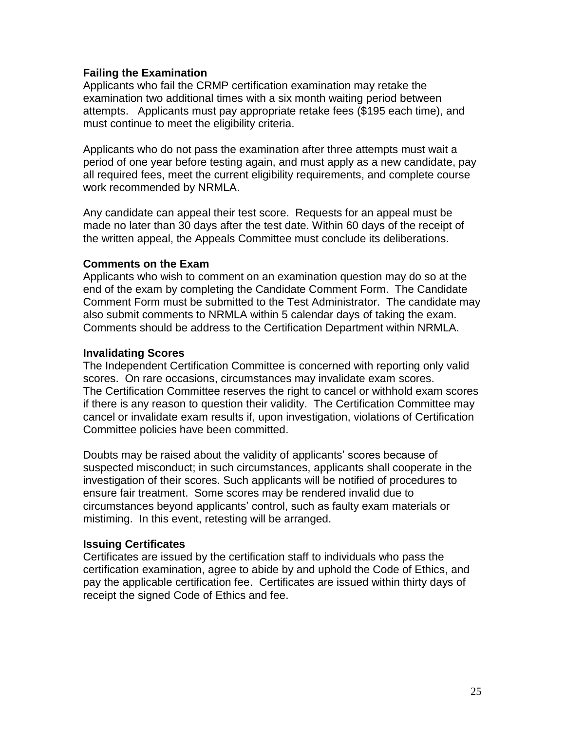### **Failing the Examination**

Applicants who fail the CRMP certification examination may retake the examination two additional times with a six month waiting period between attempts. Applicants must pay appropriate retake fees (\$195 each time), and must continue to meet the eligibility criteria.

Applicants who do not pass the examination after three attempts must wait a period of one year before testing again, and must apply as a new candidate, pay all required fees, meet the current eligibility requirements, and complete course work recommended by NRMLA.

Any candidate can appeal their test score. Requests for an appeal must be made no later than 30 days after the test date. Within 60 days of the receipt of the written appeal, the Appeals Committee must conclude its deliberations.

#### **Comments on the Exam**

Applicants who wish to comment on an examination question may do so at the end of the exam by completing the Candidate Comment Form. The Candidate Comment Form must be submitted to the Test Administrator. The candidate may also submit comments to NRMLA within 5 calendar days of taking the exam. Comments should be address to the Certification Department within NRMLA.

#### **Invalidating Scores**

The Independent Certification Committee is concerned with reporting only valid scores. On rare occasions, circumstances may invalidate exam scores. The Certification Committee reserves the right to cancel or withhold exam scores if there is any reason to question their validity. The Certification Committee may cancel or invalidate exam results if, upon investigation, violations of Certification Committee policies have been committed.

Doubts may be raised about the validity of applicants' scores because of suspected misconduct; in such circumstances, applicants shall cooperate in the investigation of their scores. Such applicants will be notified of procedures to ensure fair treatment. Some scores may be rendered invalid due to circumstances beyond applicants' control, such as faulty exam materials or mistiming. In this event, retesting will be arranged.

#### **Issuing Certificates**

Certificates are issued by the certification staff to individuals who pass the certification examination, agree to abide by and uphold the Code of Ethics, and pay the applicable certification fee. Certificates are issued within thirty days of receipt the signed Code of Ethics and fee.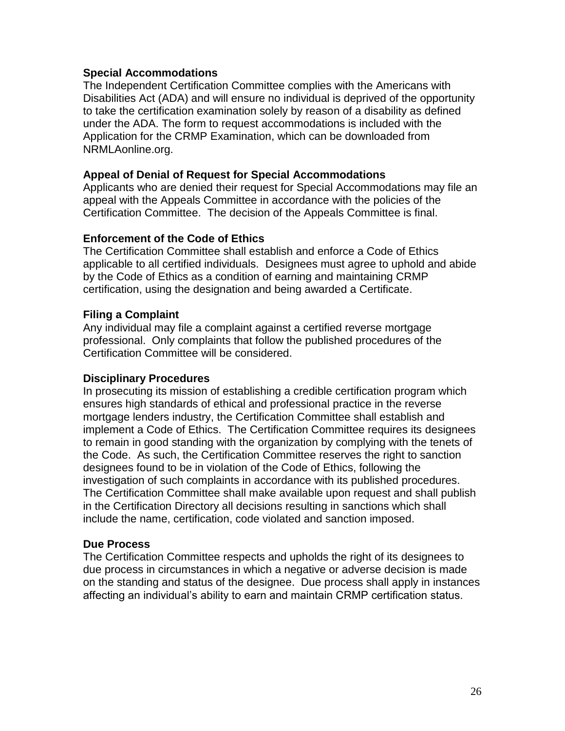#### **Special Accommodations**

The Independent Certification Committee complies with the Americans with Disabilities Act (ADA) and will ensure no individual is deprived of the opportunity to take the certification examination solely by reason of a disability as defined under the ADA. The form to request accommodations is included with the Application for the CRMP Examination, which can be downloaded from NRMLAonline.org.

#### **Appeal of Denial of Request for Special Accommodations**

Applicants who are denied their request for Special Accommodations may file an appeal with the Appeals Committee in accordance with the policies of the Certification Committee. The decision of the Appeals Committee is final.

#### **Enforcement of the Code of Ethics**

The Certification Committee shall establish and enforce a Code of Ethics applicable to all certified individuals. Designees must agree to uphold and abide by the Code of Ethics as a condition of earning and maintaining CRMP certification, using the designation and being awarded a Certificate.

#### **Filing a Complaint**

Any individual may file a complaint against a certified reverse mortgage professional. Only complaints that follow the published procedures of the Certification Committee will be considered.

### **Disciplinary Procedures**

In prosecuting its mission of establishing a credible certification program which ensures high standards of ethical and professional practice in the reverse mortgage lenders industry, the Certification Committee shall establish and implement a Code of Ethics. The Certification Committee requires its designees to remain in good standing with the organization by complying with the tenets of the Code. As such, the Certification Committee reserves the right to sanction designees found to be in violation of the Code of Ethics, following the investigation of such complaints in accordance with its published procedures. The Certification Committee shall make available upon request and shall publish in the Certification Directory all decisions resulting in sanctions which shall include the name, certification, code violated and sanction imposed.

#### **Due Process**

The Certification Committee respects and upholds the right of its designees to due process in circumstances in which a negative or adverse decision is made on the standing and status of the designee. Due process shall apply in instances affecting an individual's ability to earn and maintain CRMP certification status.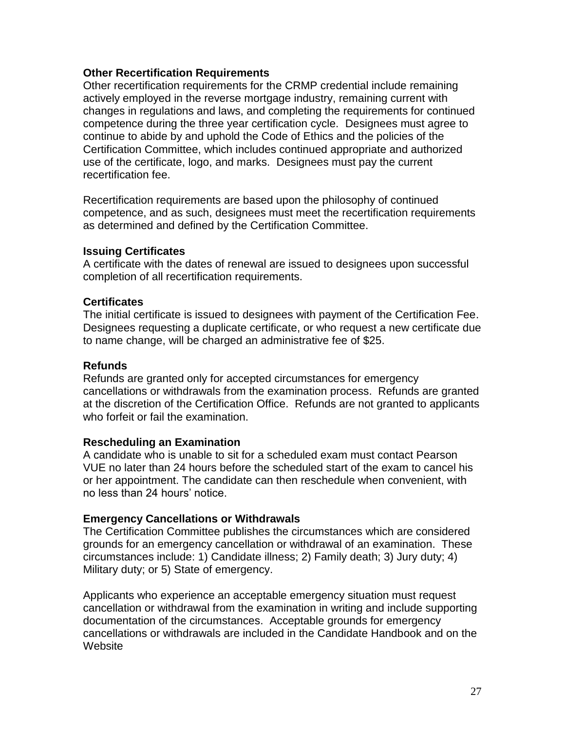#### **Other Recertification Requirements**

Other recertification requirements for the CRMP credential include remaining actively employed in the reverse mortgage industry, remaining current with changes in regulations and laws, and completing the requirements for continued competence during the three year certification cycle. Designees must agree to continue to abide by and uphold the Code of Ethics and the policies of the Certification Committee, which includes continued appropriate and authorized use of the certificate, logo, and marks. Designees must pay the current recertification fee.

Recertification requirements are based upon the philosophy of continued competence, and as such, designees must meet the recertification requirements as determined and defined by the Certification Committee.

#### **Issuing Certificates**

A certificate with the dates of renewal are issued to designees upon successful completion of all recertification requirements.

#### **Certificates**

The initial certificate is issued to designees with payment of the Certification Fee. Designees requesting a duplicate certificate, or who request a new certificate due to name change, will be charged an administrative fee of \$25.

#### **Refunds**

Refunds are granted only for accepted circumstances for emergency cancellations or withdrawals from the examination process. Refunds are granted at the discretion of the Certification Office. Refunds are not granted to applicants who forfeit or fail the examination.

#### **Rescheduling an Examination**

A candidate who is unable to sit for a scheduled exam must contact Pearson VUE no later than 24 hours before the scheduled start of the exam to cancel his or her appointment. The candidate can then reschedule when convenient, with no less than 24 hours' notice.

#### **Emergency Cancellations or Withdrawals**

The Certification Committee publishes the circumstances which are considered grounds for an emergency cancellation or withdrawal of an examination. These circumstances include: 1) Candidate illness; 2) Family death; 3) Jury duty; 4) Military duty; or 5) State of emergency.

Applicants who experience an acceptable emergency situation must request cancellation or withdrawal from the examination in writing and include supporting documentation of the circumstances. Acceptable grounds for emergency cancellations or withdrawals are included in the Candidate Handbook and on the **Website**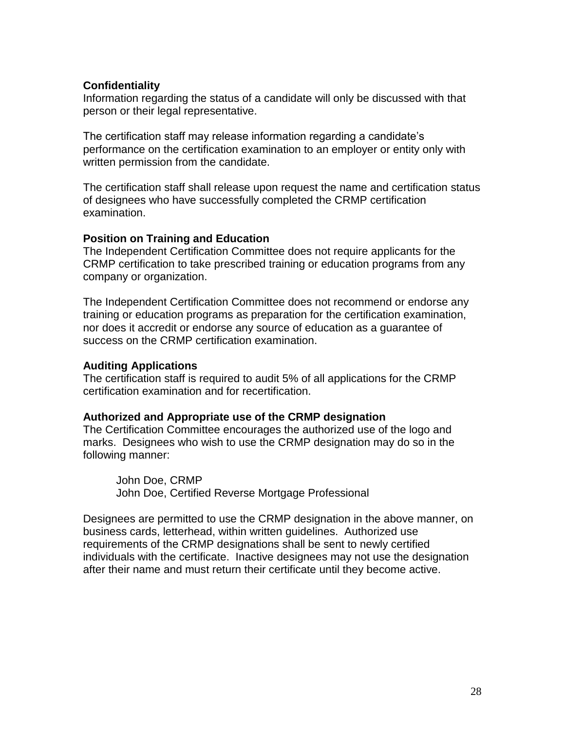### **Confidentiality**

Information regarding the status of a candidate will only be discussed with that person or their legal representative.

The certification staff may release information regarding a candidate's performance on the certification examination to an employer or entity only with written permission from the candidate.

The certification staff shall release upon request the name and certification status of designees who have successfully completed the CRMP certification examination.

### **Position on Training and Education**

The Independent Certification Committee does not require applicants for the CRMP certification to take prescribed training or education programs from any company or organization.

The Independent Certification Committee does not recommend or endorse any training or education programs as preparation for the certification examination, nor does it accredit or endorse any source of education as a guarantee of success on the CRMP certification examination.

### **Auditing Applications**

The certification staff is required to audit 5% of all applications for the CRMP certification examination and for recertification.

### **Authorized and Appropriate use of the CRMP designation**

The Certification Committee encourages the authorized use of the logo and marks. Designees who wish to use the CRMP designation may do so in the following manner:

John Doe, CRMP John Doe, Certified Reverse Mortgage Professional

Designees are permitted to use the CRMP designation in the above manner, on business cards, letterhead, within written guidelines. Authorized use requirements of the CRMP designations shall be sent to newly certified individuals with the certificate. Inactive designees may not use the designation after their name and must return their certificate until they become active.